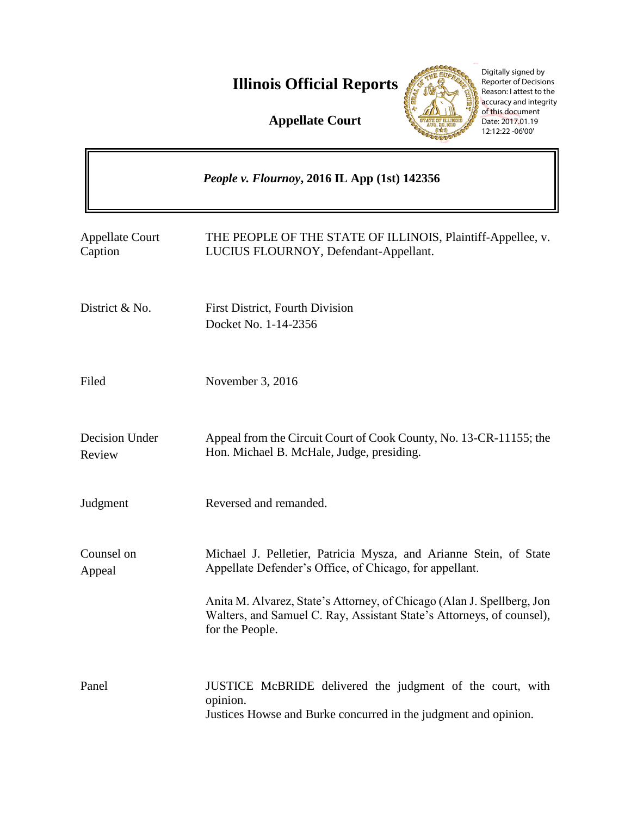**Illinois Official Reports** 

**Appellate Court**



Digitally signed by Reporter of Decisions Reason: I attest to the accuracy and integrity of this document Date: 2017.01.19 12:12:22 -06'00'

|                                   | People v. Flournoy, 2016 IL App (1st) 142356                                                                                                                                                                                                                                                       |
|-----------------------------------|----------------------------------------------------------------------------------------------------------------------------------------------------------------------------------------------------------------------------------------------------------------------------------------------------|
| <b>Appellate Court</b><br>Caption | THE PEOPLE OF THE STATE OF ILLINOIS, Plaintiff-Appellee, v.<br>LUCIUS FLOURNOY, Defendant-Appellant.                                                                                                                                                                                               |
| District & No.                    | First District, Fourth Division<br>Docket No. 1-14-2356                                                                                                                                                                                                                                            |
| Filed                             | November 3, 2016                                                                                                                                                                                                                                                                                   |
| Decision Under<br>Review          | Appeal from the Circuit Court of Cook County, No. 13-CR-11155; the<br>Hon. Michael B. McHale, Judge, presiding.                                                                                                                                                                                    |
| Judgment                          | Reversed and remanded.                                                                                                                                                                                                                                                                             |
| Counsel on<br>Appeal              | Michael J. Pelletier, Patricia Mysza, and Arianne Stein, of State<br>Appellate Defender's Office, of Chicago, for appellant.<br>Anita M. Alvarez, State's Attorney, of Chicago (Alan J. Spellberg, Jon<br>Walters, and Samuel C. Ray, Assistant State's Attorneys, of counsel),<br>for the People. |
| Panel                             | JUSTICE McBRIDE delivered the judgment of the court, with<br>opinion.<br>Justices Howse and Burke concurred in the judgment and opinion.                                                                                                                                                           |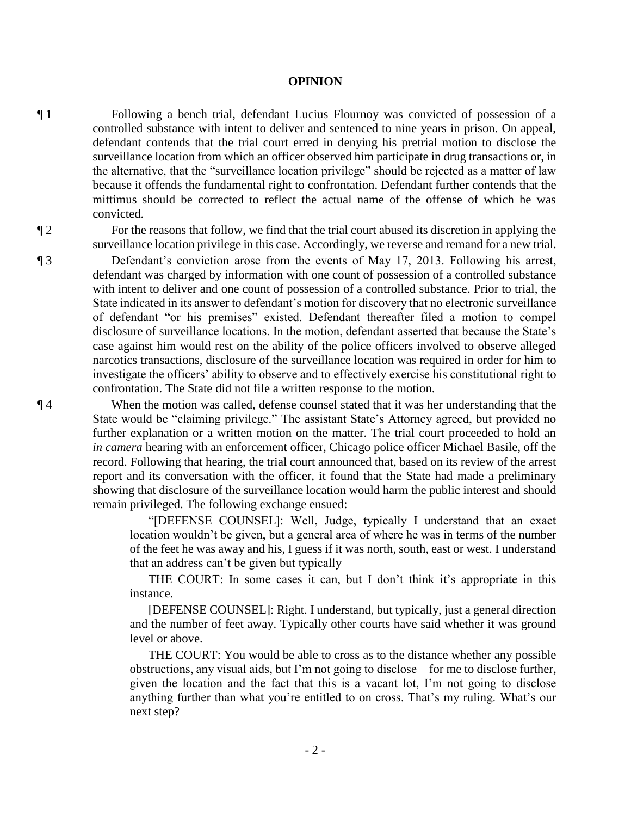## **OPINION**

¶ 1 Following a bench trial, defendant Lucius Flournoy was convicted of possession of a controlled substance with intent to deliver and sentenced to nine years in prison. On appeal, defendant contends that the trial court erred in denying his pretrial motion to disclose the surveillance location from which an officer observed him participate in drug transactions or, in the alternative, that the "surveillance location privilege" should be rejected as a matter of law because it offends the fundamental right to confrontation. Defendant further contends that the mittimus should be corrected to reflect the actual name of the offense of which he was convicted.

¶ 2 For the reasons that follow, we find that the trial court abused its discretion in applying the surveillance location privilege in this case. Accordingly, we reverse and remand for a new trial.

¶ 3 Defendant's conviction arose from the events of May 17, 2013. Following his arrest, defendant was charged by information with one count of possession of a controlled substance with intent to deliver and one count of possession of a controlled substance. Prior to trial, the State indicated in its answer to defendant's motion for discovery that no electronic surveillance of defendant "or his premises" existed. Defendant thereafter filed a motion to compel disclosure of surveillance locations. In the motion, defendant asserted that because the State's case against him would rest on the ability of the police officers involved to observe alleged narcotics transactions, disclosure of the surveillance location was required in order for him to investigate the officers' ability to observe and to effectively exercise his constitutional right to confrontation. The State did not file a written response to the motion.

¶ 4 When the motion was called, defense counsel stated that it was her understanding that the State would be "claiming privilege." The assistant State's Attorney agreed, but provided no further explanation or a written motion on the matter. The trial court proceeded to hold an *in camera* hearing with an enforcement officer, Chicago police officer Michael Basile, off the record. Following that hearing, the trial court announced that, based on its review of the arrest report and its conversation with the officer, it found that the State had made a preliminary showing that disclosure of the surveillance location would harm the public interest and should remain privileged. The following exchange ensued:

> "[DEFENSE COUNSEL]: Well, Judge, typically I understand that an exact location wouldn't be given, but a general area of where he was in terms of the number of the feet he was away and his, I guess if it was north, south, east or west. I understand that an address can't be given but typically—

> THE COURT: In some cases it can, but I don't think it's appropriate in this instance.

> [DEFENSE COUNSEL]: Right. I understand, but typically, just a general direction and the number of feet away. Typically other courts have said whether it was ground level or above.

> THE COURT: You would be able to cross as to the distance whether any possible obstructions, any visual aids, but I'm not going to disclose—for me to disclose further, given the location and the fact that this is a vacant lot, I'm not going to disclose anything further than what you're entitled to on cross. That's my ruling. What's our next step?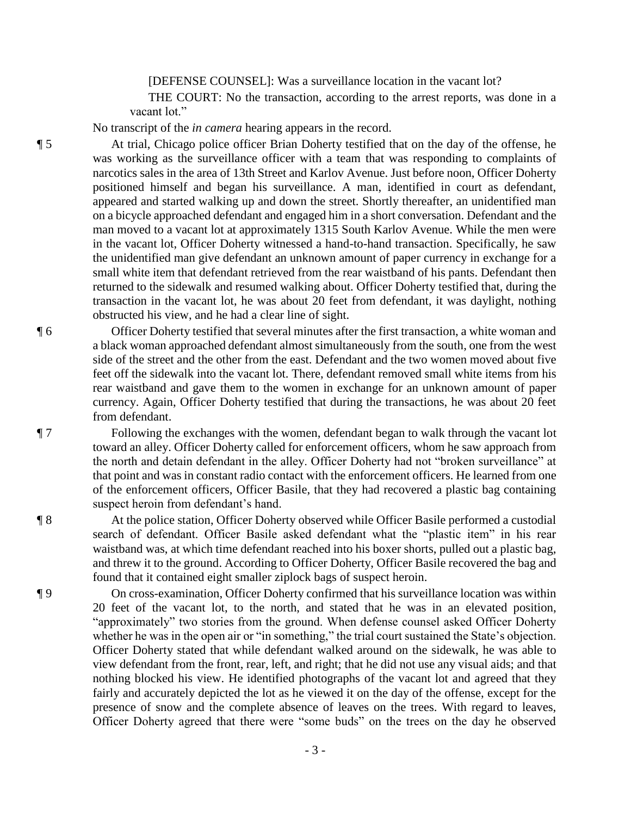[DEFENSE COUNSEL]: Was a surveillance location in the vacant lot?

 THE COURT: No the transaction, according to the arrest reports, was done in a vacant lot."

No transcript of the *in camera* hearing appears in the record.

¶ 5 At trial, Chicago police officer Brian Doherty testified that on the day of the offense, he was working as the surveillance officer with a team that was responding to complaints of narcotics sales in the area of 13th Street and Karlov Avenue. Just before noon, Officer Doherty positioned himself and began his surveillance. A man, identified in court as defendant, appeared and started walking up and down the street. Shortly thereafter, an unidentified man on a bicycle approached defendant and engaged him in a short conversation. Defendant and the man moved to a vacant lot at approximately 1315 South Karlov Avenue. While the men were in the vacant lot, Officer Doherty witnessed a hand-to-hand transaction. Specifically, he saw the unidentified man give defendant an unknown amount of paper currency in exchange for a small white item that defendant retrieved from the rear waistband of his pants. Defendant then returned to the sidewalk and resumed walking about. Officer Doherty testified that, during the transaction in the vacant lot, he was about 20 feet from defendant, it was daylight, nothing obstructed his view, and he had a clear line of sight.

¶ 6 Officer Doherty testified that several minutes after the first transaction, a white woman and a black woman approached defendant almost simultaneously from the south, one from the west side of the street and the other from the east. Defendant and the two women moved about five feet off the sidewalk into the vacant lot. There, defendant removed small white items from his rear waistband and gave them to the women in exchange for an unknown amount of paper currency. Again, Officer Doherty testified that during the transactions, he was about 20 feet from defendant.

¶ 7 Following the exchanges with the women, defendant began to walk through the vacant lot toward an alley. Officer Doherty called for enforcement officers, whom he saw approach from the north and detain defendant in the alley. Officer Doherty had not "broken surveillance" at that point and was in constant radio contact with the enforcement officers. He learned from one of the enforcement officers, Officer Basile, that they had recovered a plastic bag containing suspect heroin from defendant's hand.

¶ 8 At the police station, Officer Doherty observed while Officer Basile performed a custodial search of defendant. Officer Basile asked defendant what the "plastic item" in his rear waistband was, at which time defendant reached into his boxer shorts, pulled out a plastic bag, and threw it to the ground. According to Officer Doherty, Officer Basile recovered the bag and found that it contained eight smaller ziplock bags of suspect heroin.

¶ 9 On cross-examination, Officer Doherty confirmed that his surveillance location was within 20 feet of the vacant lot, to the north, and stated that he was in an elevated position, "approximately" two stories from the ground. When defense counsel asked Officer Doherty whether he was in the open air or "in something," the trial court sustained the State's objection. Officer Doherty stated that while defendant walked around on the sidewalk, he was able to view defendant from the front, rear, left, and right; that he did not use any visual aids; and that nothing blocked his view. He identified photographs of the vacant lot and agreed that they fairly and accurately depicted the lot as he viewed it on the day of the offense, except for the presence of snow and the complete absence of leaves on the trees. With regard to leaves, Officer Doherty agreed that there were "some buds" on the trees on the day he observed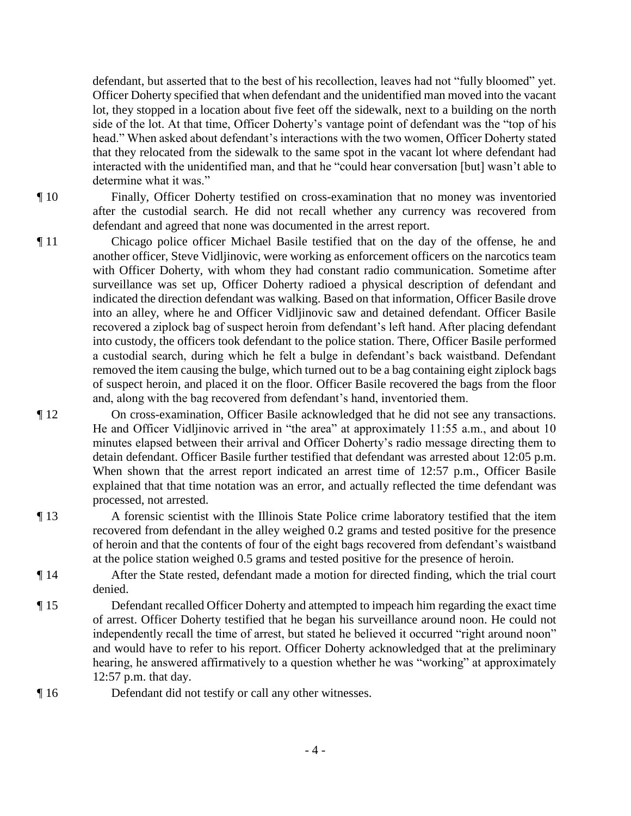defendant, but asserted that to the best of his recollection, leaves had not "fully bloomed" yet. Officer Doherty specified that when defendant and the unidentified man moved into the vacant lot, they stopped in a location about five feet off the sidewalk, next to a building on the north side of the lot. At that time, Officer Doherty's vantage point of defendant was the "top of his head." When asked about defendant's interactions with the two women, Officer Doherty stated that they relocated from the sidewalk to the same spot in the vacant lot where defendant had interacted with the unidentified man, and that he "could hear conversation [but] wasn't able to determine what it was."

¶ 10 Finally, Officer Doherty testified on cross-examination that no money was inventoried after the custodial search. He did not recall whether any currency was recovered from defendant and agreed that none was documented in the arrest report.

- ¶ 11 Chicago police officer Michael Basile testified that on the day of the offense, he and another officer, Steve Vidljinovic, were working as enforcement officers on the narcotics team with Officer Doherty, with whom they had constant radio communication. Sometime after surveillance was set up, Officer Doherty radioed a physical description of defendant and indicated the direction defendant was walking. Based on that information, Officer Basile drove into an alley, where he and Officer Vidljinovic saw and detained defendant. Officer Basile recovered a ziplock bag of suspect heroin from defendant's left hand. After placing defendant into custody, the officers took defendant to the police station. There, Officer Basile performed a custodial search, during which he felt a bulge in defendant's back waistband. Defendant removed the item causing the bulge, which turned out to be a bag containing eight ziplock bags of suspect heroin, and placed it on the floor. Officer Basile recovered the bags from the floor and, along with the bag recovered from defendant's hand, inventoried them.
- ¶ 12 On cross-examination, Officer Basile acknowledged that he did not see any transactions. He and Officer Vidljinovic arrived in "the area" at approximately 11:55 a.m., and about 10 minutes elapsed between their arrival and Officer Doherty's radio message directing them to detain defendant. Officer Basile further testified that defendant was arrested about 12:05 p.m. When shown that the arrest report indicated an arrest time of 12:57 p.m., Officer Basile explained that that time notation was an error, and actually reflected the time defendant was processed, not arrested.
- ¶ 13 A forensic scientist with the Illinois State Police crime laboratory testified that the item recovered from defendant in the alley weighed 0.2 grams and tested positive for the presence of heroin and that the contents of four of the eight bags recovered from defendant's waistband at the police station weighed 0.5 grams and tested positive for the presence of heroin.
- ¶ 14 After the State rested, defendant made a motion for directed finding, which the trial court denied.
- ¶ 15 Defendant recalled Officer Doherty and attempted to impeach him regarding the exact time of arrest. Officer Doherty testified that he began his surveillance around noon. He could not independently recall the time of arrest, but stated he believed it occurred "right around noon" and would have to refer to his report. Officer Doherty acknowledged that at the preliminary hearing, he answered affirmatively to a question whether he was "working" at approximately 12:57 p.m. that day.
- ¶ 16 Defendant did not testify or call any other witnesses.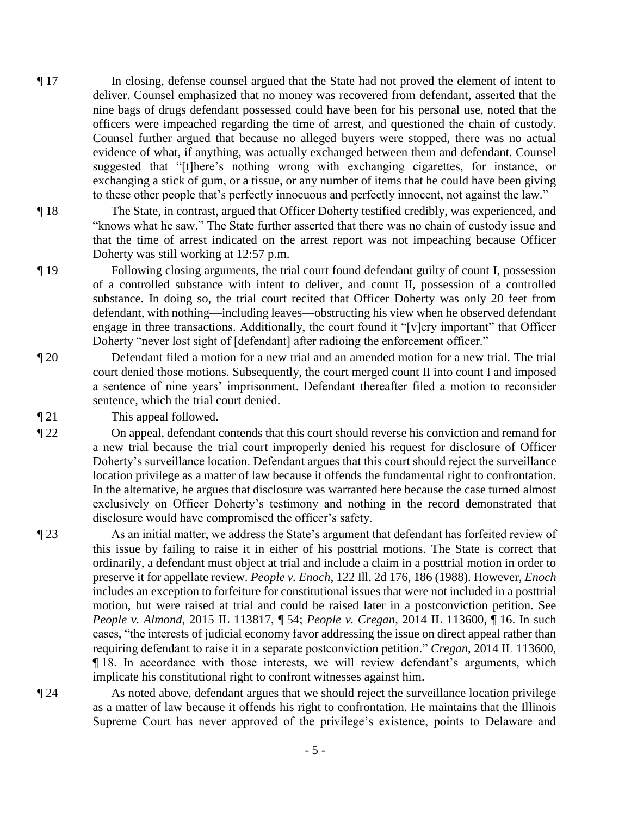- ¶ 17 In closing, defense counsel argued that the State had not proved the element of intent to deliver. Counsel emphasized that no money was recovered from defendant, asserted that the nine bags of drugs defendant possessed could have been for his personal use, noted that the officers were impeached regarding the time of arrest, and questioned the chain of custody. Counsel further argued that because no alleged buyers were stopped, there was no actual evidence of what, if anything, was actually exchanged between them and defendant. Counsel suggested that "[t]here's nothing wrong with exchanging cigarettes, for instance, or exchanging a stick of gum, or a tissue, or any number of items that he could have been giving to these other people that's perfectly innocuous and perfectly innocent, not against the law."
- ¶ 18 The State, in contrast, argued that Officer Doherty testified credibly, was experienced, and "knows what he saw." The State further asserted that there was no chain of custody issue and that the time of arrest indicated on the arrest report was not impeaching because Officer Doherty was still working at 12:57 p.m.
- ¶ 19 Following closing arguments, the trial court found defendant guilty of count I, possession of a controlled substance with intent to deliver, and count II, possession of a controlled substance. In doing so, the trial court recited that Officer Doherty was only 20 feet from defendant, with nothing—including leaves—obstructing his view when he observed defendant engage in three transactions. Additionally, the court found it "[v]ery important" that Officer Doherty "never lost sight of [defendant] after radioing the enforcement officer."
- ¶ 20 Defendant filed a motion for a new trial and an amended motion for a new trial. The trial court denied those motions. Subsequently, the court merged count II into count I and imposed a sentence of nine years' imprisonment. Defendant thereafter filed a motion to reconsider sentence, which the trial court denied.
- ¶ 21 This appeal followed.

¶ 22 On appeal, defendant contends that this court should reverse his conviction and remand for a new trial because the trial court improperly denied his request for disclosure of Officer Doherty's surveillance location. Defendant argues that this court should reject the surveillance location privilege as a matter of law because it offends the fundamental right to confrontation. In the alternative, he argues that disclosure was warranted here because the case turned almost exclusively on Officer Doherty's testimony and nothing in the record demonstrated that disclosure would have compromised the officer's safety.

¶ 23 As an initial matter, we address the State's argument that defendant has forfeited review of this issue by failing to raise it in either of his posttrial motions. The State is correct that ordinarily, a defendant must object at trial and include a claim in a posttrial motion in order to preserve it for appellate review. *People v. Enoch*, 122 Ill. 2d 176, 186 (1988). However, *Enoch* includes an exception to forfeiture for constitutional issues that were not included in a posttrial motion, but were raised at trial and could be raised later in a postconviction petition. See *People v. Almond*, 2015 IL 113817, ¶ 54; *People v. Cregan*, 2014 IL 113600, ¶ 16. In such cases, "the interests of judicial economy favor addressing the issue on direct appeal rather than requiring defendant to raise it in a separate postconviction petition." *Cregan*, 2014 IL 113600, ¶ 18. In accordance with those interests, we will review defendant's arguments, which implicate his constitutional right to confront witnesses against him.

¶ 24 As noted above, defendant argues that we should reject the surveillance location privilege as a matter of law because it offends his right to confrontation. He maintains that the Illinois Supreme Court has never approved of the privilege's existence, points to Delaware and

- 5 -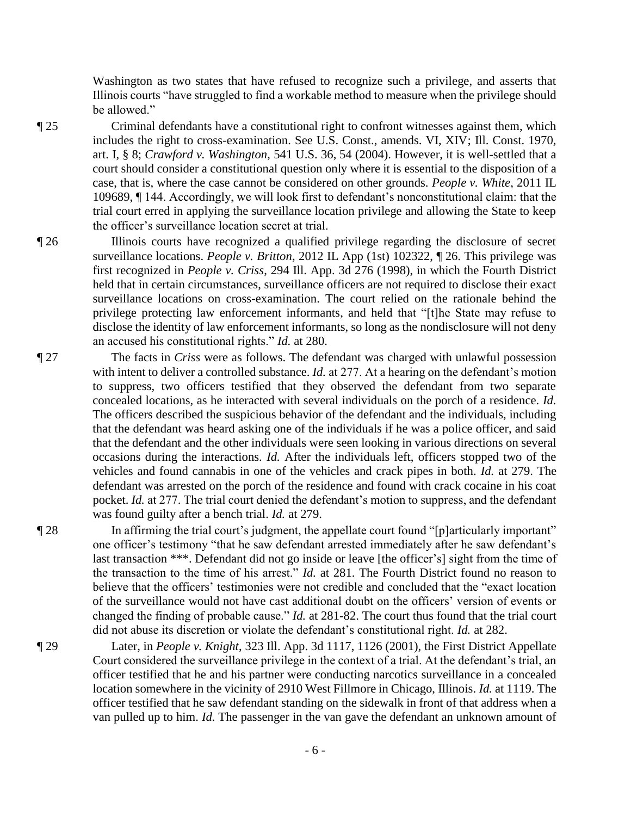Washington as two states that have refused to recognize such a privilege, and asserts that Illinois courts "have struggled to find a workable method to measure when the privilege should be allowed."

- ¶ 25 Criminal defendants have a constitutional right to confront witnesses against them, which includes the right to cross-examination. See U.S. Const., amends. VI, XIV; Ill. Const. 1970, art. I, § 8; *Crawford v. Washington*, 541 U.S. 36, 54 (2004). However, it is well-settled that a court should consider a constitutional question only where it is essential to the disposition of a case, that is, where the case cannot be considered on other grounds. *People v. White*, 2011 IL 109689, ¶ 144. Accordingly, we will look first to defendant's nonconstitutional claim: that the trial court erred in applying the surveillance location privilege and allowing the State to keep the officer's surveillance location secret at trial.
- ¶ 26 Illinois courts have recognized a qualified privilege regarding the disclosure of secret surveillance locations. *People v. Britton*, 2012 IL App (1st) 102322, ¶ 26. This privilege was first recognized in *People v. Criss*, 294 Ill. App. 3d 276 (1998), in which the Fourth District held that in certain circumstances, surveillance officers are not required to disclose their exact surveillance locations on cross-examination. The court relied on the rationale behind the privilege protecting law enforcement informants, and held that "[t]he State may refuse to disclose the identity of law enforcement informants, so long as the nondisclosure will not deny an accused his constitutional rights." *Id.* at 280.
- ¶ 27 The facts in *Criss* were as follows. The defendant was charged with unlawful possession with intent to deliver a controlled substance. *Id.* at 277. At a hearing on the defendant's motion to suppress, two officers testified that they observed the defendant from two separate concealed locations, as he interacted with several individuals on the porch of a residence. *Id.*  The officers described the suspicious behavior of the defendant and the individuals, including that the defendant was heard asking one of the individuals if he was a police officer, and said that the defendant and the other individuals were seen looking in various directions on several occasions during the interactions. *Id.* After the individuals left, officers stopped two of the vehicles and found cannabis in one of the vehicles and crack pipes in both. *Id.* at 279. The defendant was arrested on the porch of the residence and found with crack cocaine in his coat pocket. *Id.* at 277. The trial court denied the defendant's motion to suppress, and the defendant was found guilty after a bench trial. *Id.* at 279.
- ¶ 28 In affirming the trial court's judgment, the appellate court found "[p]articularly important" one officer's testimony "that he saw defendant arrested immediately after he saw defendant's last transaction \*\*\*. Defendant did not go inside or leave [the officer's] sight from the time of the transaction to the time of his arrest." *Id.* at 281. The Fourth District found no reason to believe that the officers' testimonies were not credible and concluded that the "exact location of the surveillance would not have cast additional doubt on the officers' version of events or changed the finding of probable cause." *Id.* at 281-82. The court thus found that the trial court did not abuse its discretion or violate the defendant's constitutional right. *Id.* at 282.
- ¶ 29 Later, in *People v. Knight*, 323 Ill. App. 3d 1117, 1126 (2001), the First District Appellate Court considered the surveillance privilege in the context of a trial. At the defendant's trial, an officer testified that he and his partner were conducting narcotics surveillance in a concealed location somewhere in the vicinity of 2910 West Fillmore in Chicago, Illinois. *Id.* at 1119. The officer testified that he saw defendant standing on the sidewalk in front of that address when a van pulled up to him. *Id.* The passenger in the van gave the defendant an unknown amount of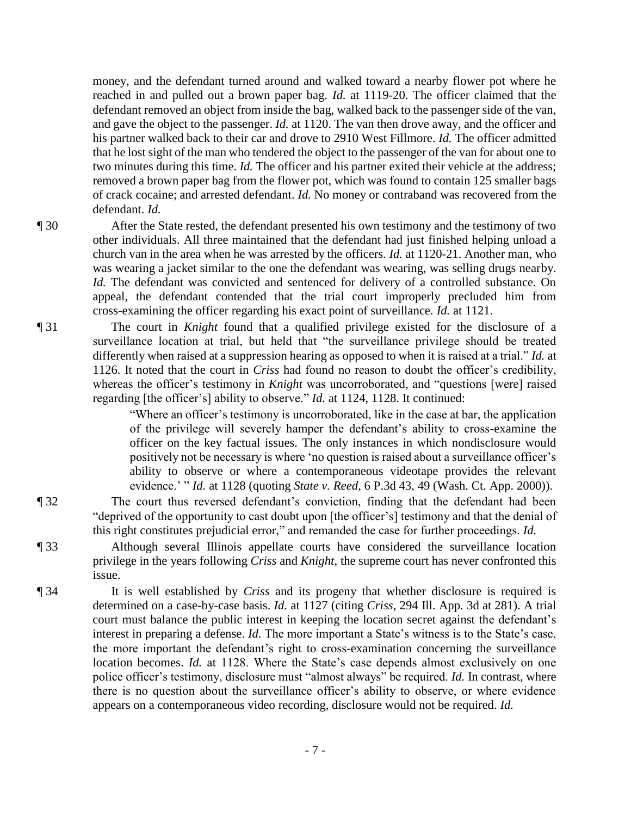money, and the defendant turned around and walked toward a nearby flower pot where he reached in and pulled out a brown paper bag. *Id.* at 1119-20. The officer claimed that the defendant removed an object from inside the bag, walked back to the passenger side of the van, and gave the object to the passenger. *Id.* at 1120. The van then drove away, and the officer and his partner walked back to their car and drove to 2910 West Fillmore. *Id.* The officer admitted that he lost sight of the man who tendered the object to the passenger of the van for about one to two minutes during this time. *Id.* The officer and his partner exited their vehicle at the address; removed a brown paper bag from the flower pot, which was found to contain 125 smaller bags of crack cocaine; and arrested defendant. *Id.* No money or contraband was recovered from the defendant. *Id.*

¶ 30 After the State rested, the defendant presented his own testimony and the testimony of two other individuals. All three maintained that the defendant had just finished helping unload a church van in the area when he was arrested by the officers. *Id.* at 1120-21. Another man, who was wearing a jacket similar to the one the defendant was wearing, was selling drugs nearby. *Id.* The defendant was convicted and sentenced for delivery of a controlled substance. On appeal, the defendant contended that the trial court improperly precluded him from cross-examining the officer regarding his exact point of surveillance. *Id.* at 1121.

¶ 31 The court in *Knight* found that a qualified privilege existed for the disclosure of a surveillance location at trial, but held that "the surveillance privilege should be treated differently when raised at a suppression hearing as opposed to when it is raised at a trial." *Id.* at 1126. It noted that the court in *Criss* had found no reason to doubt the officer's credibility, whereas the officer's testimony in *Knight* was uncorroborated, and "questions [were] raised regarding [the officer's] ability to observe." *Id.* at 1124, 1128. It continued:

> "Where an officer's testimony is uncorroborated, like in the case at bar, the application of the privilege will severely hamper the defendant's ability to cross-examine the officer on the key factual issues. The only instances in which nondisclosure would positively not be necessary is where 'no question is raised about a surveillance officer's ability to observe or where a contemporaneous videotape provides the relevant evidence.' " *Id.* at 1128 (quoting *State v. Reed*, 6 P.3d 43, 49 (Wash. Ct. App. 2000)).

¶ 32 The court thus reversed defendant's conviction, finding that the defendant had been "deprived of the opportunity to cast doubt upon [the officer's] testimony and that the denial of this right constitutes prejudicial error," and remanded the case for further proceedings. *Id.*

¶ 33 Although several Illinois appellate courts have considered the surveillance location privilege in the years following *Criss* and *Knight*, the supreme court has never confronted this issue.

¶ 34 It is well established by *Criss* and its progeny that whether disclosure is required is determined on a case-by-case basis. *Id.* at 1127 (citing *Criss*, 294 Ill. App. 3d at 281). A trial court must balance the public interest in keeping the location secret against the defendant's interest in preparing a defense. *Id.* The more important a State's witness is to the State's case, the more important the defendant's right to cross-examination concerning the surveillance location becomes. *Id.* at 1128. Where the State's case depends almost exclusively on one police officer's testimony, disclosure must "almost always" be required. *Id.* In contrast, where there is no question about the surveillance officer's ability to observe, or where evidence appears on a contemporaneous video recording, disclosure would not be required. *Id.*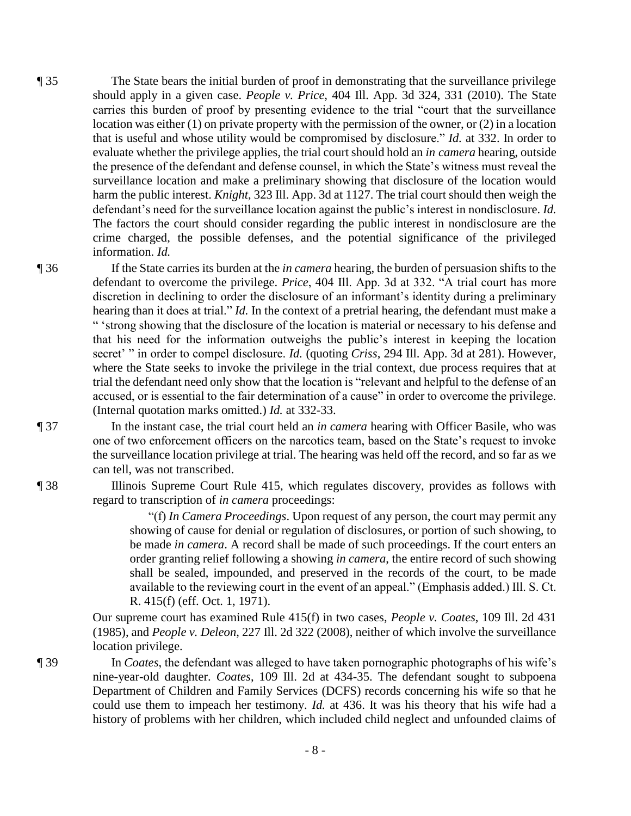¶ 35 The State bears the initial burden of proof in demonstrating that the surveillance privilege should apply in a given case. *People v. Price*, 404 Ill. App. 3d 324, 331 (2010). The State carries this burden of proof by presenting evidence to the trial "court that the surveillance location was either (1) on private property with the permission of the owner, or (2) in a location that is useful and whose utility would be compromised by disclosure." *Id.* at 332. In order to evaluate whether the privilege applies, the trial court should hold an *in camera* hearing, outside the presence of the defendant and defense counsel, in which the State's witness must reveal the surveillance location and make a preliminary showing that disclosure of the location would harm the public interest. *Knight*, 323 Ill. App. 3d at 1127. The trial court should then weigh the defendant's need for the surveillance location against the public's interest in nondisclosure. *Id.* The factors the court should consider regarding the public interest in nondisclosure are the crime charged, the possible defenses, and the potential significance of the privileged information. *Id.*

¶ 36 If the State carries its burden at the *in camera* hearing, the burden of persuasion shifts to the defendant to overcome the privilege. *Price*, 404 Ill. App. 3d at 332. "A trial court has more discretion in declining to order the disclosure of an informant's identity during a preliminary hearing than it does at trial." *Id.* In the context of a pretrial hearing, the defendant must make a " 'strong showing that the disclosure of the location is material or necessary to his defense and that his need for the information outweighs the public's interest in keeping the location secret' " in order to compel disclosure. *Id.* (quoting *Criss*, 294 Ill. App. 3d at 281). However, where the State seeks to invoke the privilege in the trial context, due process requires that at trial the defendant need only show that the location is "relevant and helpful to the defense of an accused, or is essential to the fair determination of a cause" in order to overcome the privilege. (Internal quotation marks omitted.) *Id.* at 332-33.

¶ 37 In the instant case, the trial court held an *in camera* hearing with Officer Basile, who was one of two enforcement officers on the narcotics team, based on the State's request to invoke the surveillance location privilege at trial. The hearing was held off the record, and so far as we can tell, was not transcribed.

¶ 38 Illinois Supreme Court Rule 415, which regulates discovery, provides as follows with regard to transcription of *in camera* proceedings:

> "(f) *In Camera Proceedings*. Upon request of any person, the court may permit any showing of cause for denial or regulation of disclosures, or portion of such showing, to be made *in camera*. A record shall be made of such proceedings. If the court enters an order granting relief following a showing *in camera*, the entire record of such showing shall be sealed, impounded, and preserved in the records of the court, to be made available to the reviewing court in the event of an appeal." (Emphasis added.) Ill. S. Ct. R. 415(f) (eff. Oct. 1, 1971).

Our supreme court has examined Rule 415(f) in two cases, *People v. Coates*, 109 Ill. 2d 431 (1985), and *People v. Deleon*, 227 Ill. 2d 322 (2008), neither of which involve the surveillance location privilege.

¶ 39 In *Coates*, the defendant was alleged to have taken pornographic photographs of his wife's nine-year-old daughter. *Coates*, 109 Ill. 2d at 434-35. The defendant sought to subpoena Department of Children and Family Services (DCFS) records concerning his wife so that he could use them to impeach her testimony. *Id.* at 436. It was his theory that his wife had a history of problems with her children, which included child neglect and unfounded claims of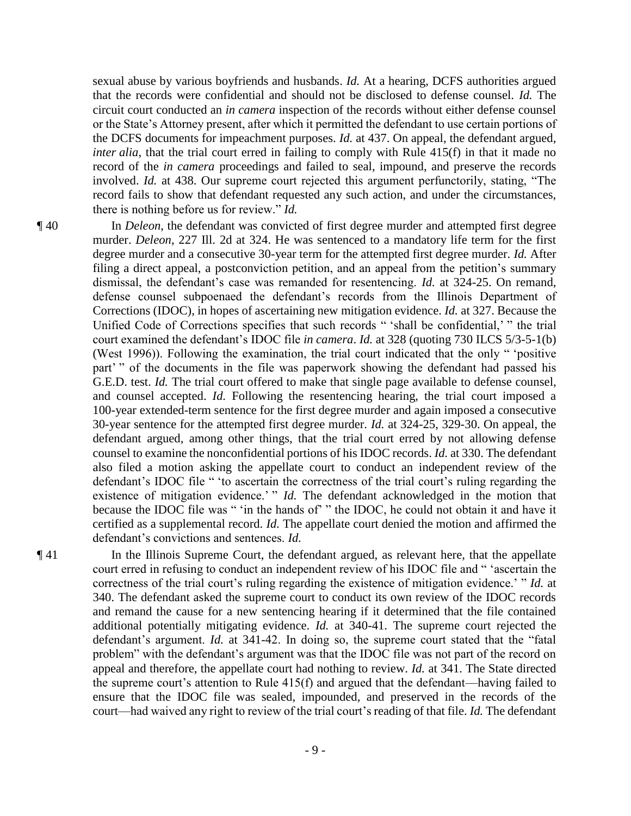sexual abuse by various boyfriends and husbands. *Id.* At a hearing, DCFS authorities argued that the records were confidential and should not be disclosed to defense counsel. *Id.* The circuit court conducted an *in camera* inspection of the records without either defense counsel or the State's Attorney present, after which it permitted the defendant to use certain portions of the DCFS documents for impeachment purposes. *Id.* at 437. On appeal, the defendant argued, *inter alia*, that the trial court erred in failing to comply with Rule 415(f) in that it made no record of the *in camera* proceedings and failed to seal, impound, and preserve the records involved. *Id.* at 438. Our supreme court rejected this argument perfunctorily, stating, "The record fails to show that defendant requested any such action, and under the circumstances, there is nothing before us for review." *Id.*

¶ 40 In *Deleon*, the defendant was convicted of first degree murder and attempted first degree murder. *Deleon*, 227 Ill. 2d at 324. He was sentenced to a mandatory life term for the first degree murder and a consecutive 30-year term for the attempted first degree murder. *Id.* After filing a direct appeal, a postconviction petition, and an appeal from the petition's summary dismissal, the defendant's case was remanded for resentencing. *Id.* at 324-25. On remand, defense counsel subpoenaed the defendant's records from the Illinois Department of Corrections (IDOC), in hopes of ascertaining new mitigation evidence. *Id.* at 327. Because the Unified Code of Corrections specifies that such records " 'shall be confidential,' " the trial court examined the defendant's IDOC file *in camera*. *Id.* at 328 (quoting 730 ILCS 5/3-5-1(b) (West 1996)). Following the examination, the trial court indicated that the only " 'positive part' " of the documents in the file was paperwork showing the defendant had passed his G.E.D. test. *Id.* The trial court offered to make that single page available to defense counsel, and counsel accepted. *Id.* Following the resentencing hearing, the trial court imposed a 100-year extended-term sentence for the first degree murder and again imposed a consecutive 30-year sentence for the attempted first degree murder. *Id.* at 324-25, 329-30. On appeal, the defendant argued, among other things, that the trial court erred by not allowing defense counsel to examine the nonconfidential portions of his IDOC records. *Id.* at 330. The defendant also filed a motion asking the appellate court to conduct an independent review of the defendant's IDOC file " 'to ascertain the correctness of the trial court's ruling regarding the existence of mitigation evidence.' " *Id*. The defendant acknowledged in the motion that because the IDOC file was " 'in the hands of' " the IDOC, he could not obtain it and have it certified as a supplemental record. *Id.* The appellate court denied the motion and affirmed the defendant's convictions and sentences. *Id.*

¶ 41 In the Illinois Supreme Court, the defendant argued, as relevant here, that the appellate court erred in refusing to conduct an independent review of his IDOC file and " 'ascertain the correctness of the trial court's ruling regarding the existence of mitigation evidence.' " *Id.* at 340. The defendant asked the supreme court to conduct its own review of the IDOC records and remand the cause for a new sentencing hearing if it determined that the file contained additional potentially mitigating evidence. *Id.* at 340-41. The supreme court rejected the defendant's argument. *Id.* at 341-42. In doing so, the supreme court stated that the "fatal problem" with the defendant's argument was that the IDOC file was not part of the record on appeal and therefore, the appellate court had nothing to review. *Id.* at 341. The State directed the supreme court's attention to Rule 415(f) and argued that the defendant—having failed to ensure that the IDOC file was sealed, impounded, and preserved in the records of the court—had waived any right to review of the trial court's reading of that file. *Id.* The defendant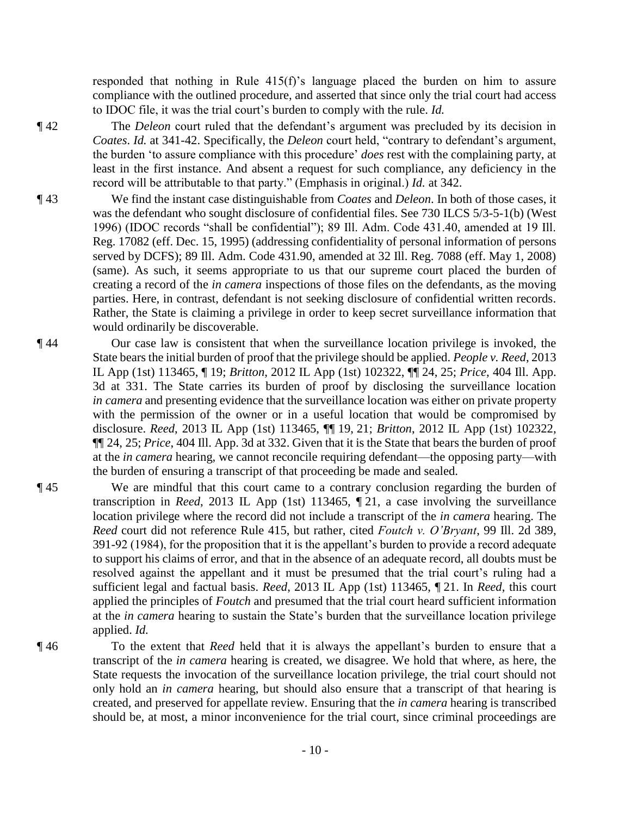responded that nothing in Rule 415(f)'s language placed the burden on him to assure compliance with the outlined procedure, and asserted that since only the trial court had access to IDOC file, it was the trial court's burden to comply with the rule. *Id.*

- ¶ 42 The *Deleon* court ruled that the defendant's argument was precluded by its decision in *Coates*. *Id.* at 341-42. Specifically, the *Deleon* court held, "contrary to defendant's argument, the burden 'to assure compliance with this procedure' *does* rest with the complaining party, at least in the first instance. And absent a request for such compliance, any deficiency in the record will be attributable to that party." (Emphasis in original.) *Id.* at 342.
- ¶ 43 We find the instant case distinguishable from *Coates* and *Deleon*. In both of those cases, it was the defendant who sought disclosure of confidential files. See 730 ILCS 5/3-5-1(b) (West 1996) (IDOC records "shall be confidential"); 89 Ill. Adm. Code 431.40, amended at 19 Ill. Reg. 17082 (eff. Dec. 15, 1995) (addressing confidentiality of personal information of persons served by DCFS); 89 Ill. Adm. Code 431.90, amended at 32 Ill. Reg. 7088 (eff. May 1, 2008) (same). As such, it seems appropriate to us that our supreme court placed the burden of creating a record of the *in camera* inspections of those files on the defendants, as the moving parties. Here, in contrast, defendant is not seeking disclosure of confidential written records. Rather, the State is claiming a privilege in order to keep secret surveillance information that would ordinarily be discoverable.
- ¶ 44 Our case law is consistent that when the surveillance location privilege is invoked, the State bears the initial burden of proof that the privilege should be applied. *People v. Reed*, 2013 IL App (1st) 113465, ¶ 19; *Britton*, 2012 IL App (1st) 102322, ¶¶ 24, 25; *Price*, 404 Ill. App. 3d at 331. The State carries its burden of proof by disclosing the surveillance location *in camera* and presenting evidence that the surveillance location was either on private property with the permission of the owner or in a useful location that would be compromised by disclosure. *Reed*, 2013 IL App (1st) 113465, ¶¶ 19, 21; *Britton*, 2012 IL App (1st) 102322, ¶¶ 24, 25; *Price*, 404 Ill. App. 3d at 332. Given that it is the State that bears the burden of proof at the *in camera* hearing, we cannot reconcile requiring defendant—the opposing party—with the burden of ensuring a transcript of that proceeding be made and sealed.
- ¶ 45 We are mindful that this court came to a contrary conclusion regarding the burden of transcription in *Reed*, 2013 IL App (1st) 113465, ¶ 21, a case involving the surveillance location privilege where the record did not include a transcript of the *in camera* hearing. The *Reed* court did not reference Rule 415, but rather, cited *Foutch v. O'Bryant*, 99 Ill. 2d 389, 391-92 (1984), for the proposition that it is the appellant's burden to provide a record adequate to support his claims of error, and that in the absence of an adequate record, all doubts must be resolved against the appellant and it must be presumed that the trial court's ruling had a sufficient legal and factual basis. *Reed*, 2013 IL App (1st) 113465, ¶ 21. In *Reed*, this court applied the principles of *Foutch* and presumed that the trial court heard sufficient information at the *in camera* hearing to sustain the State's burden that the surveillance location privilege applied. *Id.*

¶ 46 To the extent that *Reed* held that it is always the appellant's burden to ensure that a transcript of the *in camera* hearing is created, we disagree. We hold that where, as here, the State requests the invocation of the surveillance location privilege, the trial court should not only hold an *in camera* hearing, but should also ensure that a transcript of that hearing is created, and preserved for appellate review. Ensuring that the *in camera* hearing is transcribed should be, at most, a minor inconvenience for the trial court, since criminal proceedings are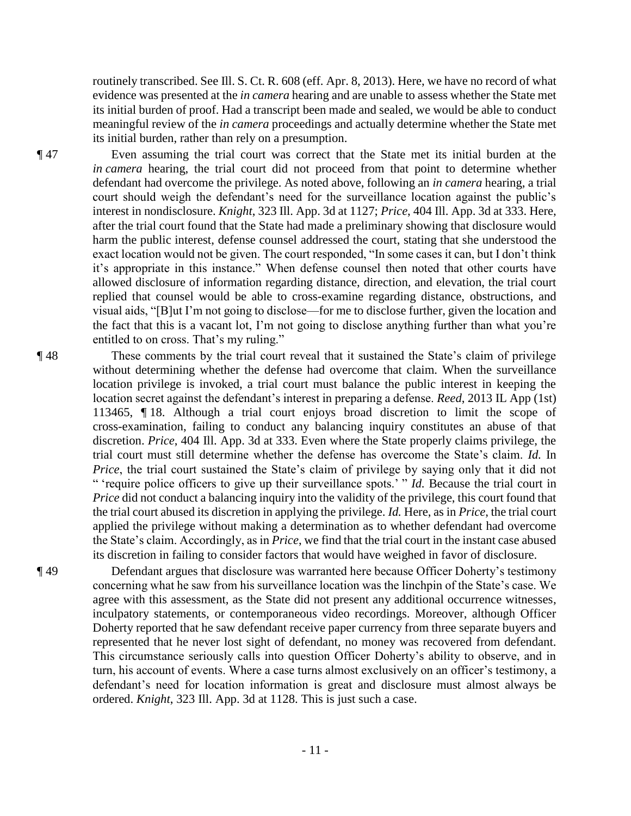routinely transcribed. See Ill. S. Ct. R. 608 (eff. Apr. 8, 2013). Here, we have no record of what evidence was presented at the *in camera* hearing and are unable to assess whether the State met its initial burden of proof. Had a transcript been made and sealed, we would be able to conduct meaningful review of the *in camera* proceedings and actually determine whether the State met its initial burden, rather than rely on a presumption.

¶ 47 Even assuming the trial court was correct that the State met its initial burden at the *in camera* hearing, the trial court did not proceed from that point to determine whether defendant had overcome the privilege. As noted above, following an *in camera* hearing, a trial court should weigh the defendant's need for the surveillance location against the public's interest in nondisclosure. *Knight*, 323 Ill. App. 3d at 1127; *Price*, 404 Ill. App. 3d at 333. Here, after the trial court found that the State had made a preliminary showing that disclosure would harm the public interest, defense counsel addressed the court, stating that she understood the exact location would not be given. The court responded, "In some cases it can, but I don't think it's appropriate in this instance." When defense counsel then noted that other courts have allowed disclosure of information regarding distance, direction, and elevation, the trial court replied that counsel would be able to cross-examine regarding distance, obstructions, and visual aids, "[B]ut I'm not going to disclose—for me to disclose further, given the location and the fact that this is a vacant lot, I'm not going to disclose anything further than what you're entitled to on cross. That's my ruling."

¶ 48 These comments by the trial court reveal that it sustained the State's claim of privilege without determining whether the defense had overcome that claim. When the surveillance location privilege is invoked, a trial court must balance the public interest in keeping the location secret against the defendant's interest in preparing a defense. *Reed*, 2013 IL App (1st) 113465, ¶ 18. Although a trial court enjoys broad discretion to limit the scope of cross-examination, failing to conduct any balancing inquiry constitutes an abuse of that discretion. *Price*, 404 Ill. App. 3d at 333. Even where the State properly claims privilege, the trial court must still determine whether the defense has overcome the State's claim. *Id.* In *Price*, the trial court sustained the State's claim of privilege by saying only that it did not " 'require police officers to give up their surveillance spots.' " *Id.* Because the trial court in *Price* did not conduct a balancing inquiry into the validity of the privilege, this court found that the trial court abused its discretion in applying the privilege. *Id.* Here, as in *Price*, the trial court applied the privilege without making a determination as to whether defendant had overcome the State's claim. Accordingly, as in *Price*, we find that the trial court in the instant case abused its discretion in failing to consider factors that would have weighed in favor of disclosure.

¶ 49 Defendant argues that disclosure was warranted here because Officer Doherty's testimony concerning what he saw from his surveillance location was the linchpin of the State's case. We agree with this assessment, as the State did not present any additional occurrence witnesses, inculpatory statements, or contemporaneous video recordings. Moreover, although Officer Doherty reported that he saw defendant receive paper currency from three separate buyers and represented that he never lost sight of defendant, no money was recovered from defendant. This circumstance seriously calls into question Officer Doherty's ability to observe, and in turn, his account of events. Where a case turns almost exclusively on an officer's testimony, a defendant's need for location information is great and disclosure must almost always be ordered. *Knight*, 323 Ill. App. 3d at 1128. This is just such a case.